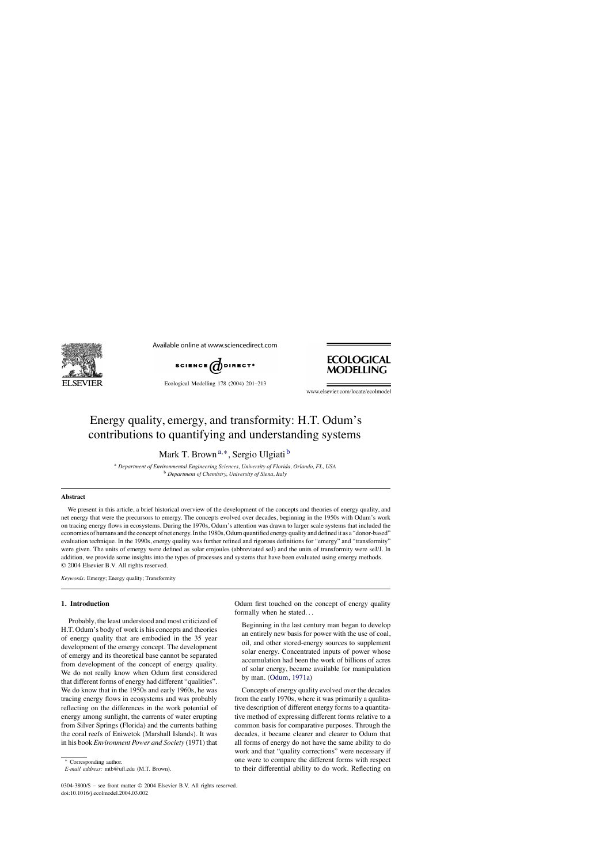

Available online at www.sciencedirect.com



Ecological Modelling 178 (2004) 201–213



www.elsevier.com/locate/ecolmodel

# Energy quality, emergy, and transformity: H.T. Odum's contributions to quantifying and understanding systems

Mark T. Brown <sup>a</sup>*,*∗, Sergio Ulgiati <sup>b</sup>

<sup>a</sup> *Department of Environmental Engineering Sciences, University of Florida, Orlando, FL, USA* <sup>b</sup> *Department of Chemistry, University of Siena, Italy*

## **Abstract**

We present in this article, a brief historical overview of the development of the concepts and theories of energy quality, and net energy that were the precursors to emergy. The concepts evolved over decades, beginning in the 1950s with Odum's work on tracing energy flows in ecosystems. During the 1970s, Odum's attention was drawn to larger scale systems that included the economies of humans and the concept of net energy. In the 1980s, Odum quantified energy quality and defined it as a "donor-based" evaluation technique. In the 1990s, energy quality was further refined and rigorous definitions for "emergy" and "transformity" were given. The units of emergy were defined as solar emjoules (abbreviated seJ) and the units of transformity were seJ/J. In addition, we provide some insights into the types of processes and systems that have been evaluated using emergy methods. © 2004 Elsevier B.V. All rights reserved.

*Keywords:* Emergy; Energy quality; Transformity

#### **1. Introduction**

Probably, the least understood and most criticized of H.T. Odum's body of work is his concepts and theories of energy quality that are embodied in the 35 year development of the emergy concept. The development of emergy and its theoretical base cannot be separated from development of the concept of energy quality. We do not really know when Odum first considered that different forms of energy had different "qualities". We do know that in the 1950s and early 1960s, he was tracing energy flows in ecosystems and was probably reflecting on the differences in the work potential of energy among sunlight, the currents of water erupting from Silver Springs (Florida) and the currents bathing the coral reefs of Eniwetok (Marshall Islands). It was in his book *Environment Power and Society* (1971) that

∗ Corresponding author.

Odum first touched on the concept of energy quality formally when he stated*...*

Beginning in the last century man began to develop an entirely new basis for power with the use of coal, oil, and other stored-energy sources to supplement solar energy. Concentrated inputs of power whose accumulation had been the work of billions of acres of solar energy, became available for manipulation by man. [\(Odum, 1971a\)](#page-10-0)

Concepts of energy quality evolved over the decades from the early 1970s, where it was primarily a qualitative description of different energy forms to a quantitative method of expressing different forms relative to a common basis for comparative purposes. Through the decades, it became clearer and clearer to Odum that all forms of energy do not have the same ability to do work and that "quality corrections" were necessary if one were to compare the different forms with respect to their differential ability to do work. Reflecting on

*E-mail address:* mtb@ufl.edu (M.T. Brown).

<sup>0304-3800/\$ –</sup> see front matter © 2004 Elsevier B.V. All rights reserved. doi:10.1016/j.ecolmodel.2004.03.002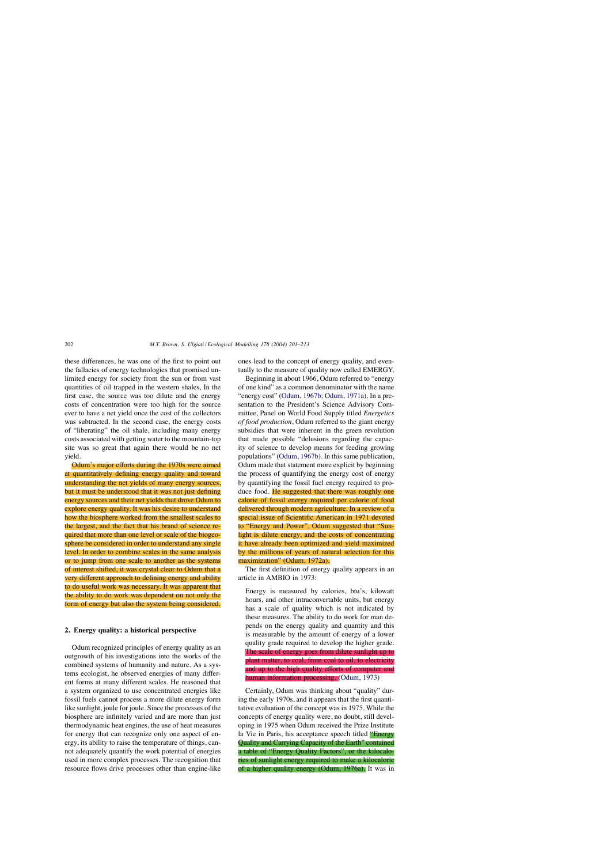these differences, he was one of the first to point out the fallacies of energy technologies that promised unlimited energy for society from the sun or from vast quantities of oil trapped in the western shales, In the first case, the source was too dilute and the energy costs of concentration were too high for the source ever to have a net yield once the cost of the collectors was subtracted. In the second case, the energy costs of "liberating" the oil shale, including many energy costs associated with getting water to the mountain-top site was so great that again there would be no net yield.

Odum's major efforts during the 1970s were aimed at quantitatively defining energy quality and toward understanding the net yields of many energy sources, but it must be understood that it was not just defining energy sources and their net yields that drove Odum to explore energy quality. It was his desire to understand how the biosphere worked from the smallest scales to the largest, and the fact that his brand of science required that more than one level or scale of the biogeosphere be considered in order to understand any single level. In order to combine scales in the same analysis or to jump from one scale to another as the systems of interest shifted, it was crystal clear to Odum that a very different approach to defining energy and ability to do useful work was necessary. It was apparent that the ability to do work was dependent on not only the form of energy but also the system being considered.

### **2. Energy quality: a historical perspective**

Odum recognized principles of energy quality as an outgrowth of his investigations into the works of the combined systems of humanity and nature. As a systems ecologist, he observed energies of many different forms at many different scales. He reasoned that a system organized to use concentrated energies like fossil fuels cannot process a more dilute energy form like sunlight, joule for joule. Since the processes of the biosphere are infinitely varied and are more than just thermodynamic heat engines, the use of heat measures for energy that can recognize only one aspect of energy, its ability to raise the temperature of things, cannot adequately quantify the work potential of energies used in more complex processes. The recognition that resource flows drive processes other than engine-like ones lead to the concept of energy quality, and eventually to the measure of quality now called EMERGY.

Beginning in about 1966, Odum referred to "energy of one kind" as a common denominator with the name "energy cost" [\(Odum, 1967b; Odum, 1971a\).](#page-10-0) In a presentation to the President's Science Advisory Committee, Panel on World Food Supply titled *Energetics of food production*, Odum referred to the giant energy subsidies that were inherent in the green revolution that made possible "delusions regarding the capacity of science to develop means for feeding growing populations" ([Odum, 1967b\).](#page-10-0) In this same publication, Odum made that statement more explicit by beginning the process of quantifying the energy cost of energy by quantifying the fossil fuel energy required to produce food. He suggested that there was roughly one calorie of fossil energy required per calorie of food delivered through modern agriculture. In a review of a special issue of Scientific American in 1971 devoted to "Energy and Power", Odum suggested that "Sunlight is dilute energy, and the costs of concentrating it have already been optimized and yield maximized by the millions of years of natural selection for this maximization" ([Odum, 1972a\).](#page-10-0)

The first definition of energy quality appears in an article in AMBIO in 1973:

Energy is measured by calories, btu's, kilowatt hours, and other intraconvertable units, but energy has a scale of quality which is not indicated by these measures. The ability to do work for man depends on the energy quality and quantity and this is measurable by the amount of energy of a lower quality grade required to develop the higher grade. The scale of energy goes from dilute sunlight up to plant matter, to coal, from coal to oil, to electricity and up to the high quality efforts of computer and human information processing. ([Odum, 1973\)](#page-10-0)

Certainly, Odum was thinking about "quality" during the early 1970s, and it appears that the first quantitative evaluation of the concept was in 1975. While the concepts of energy quality were, no doubt, still developing in 1975 when Odum received the Prize Institute la Vie in Paris, his acceptance speech titled "Energy Quality and Carrying Capacity of the Earth" contained a table of "Energy Quality Factors", or the kilocalories of sunlight energy required to make a kilocalorie of a higher quality energy [\(Odum, 1976a\).](#page-10-0) It was in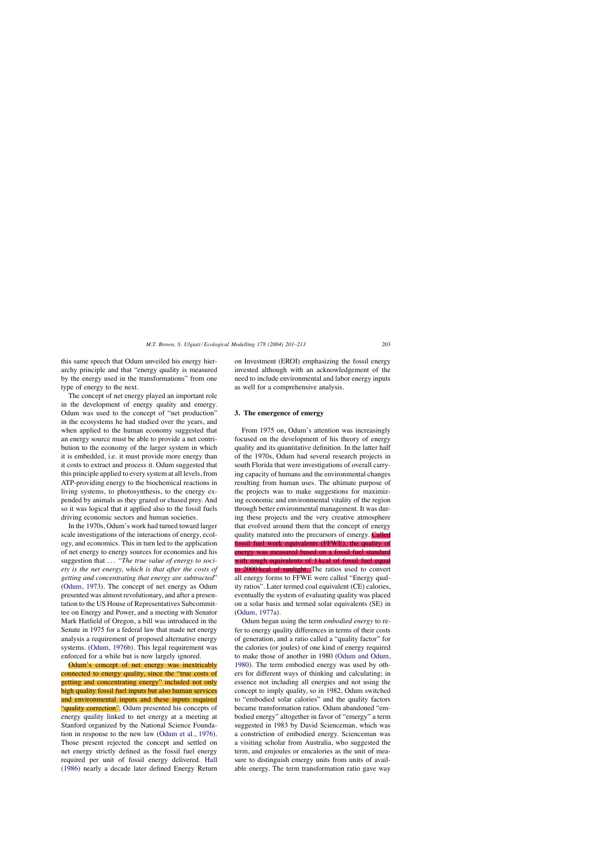this same speech that Odum unveiled his energy hierarchy principle and that "energy quality is measured by the energy used in the transformations" from one type of energy to the next.

The concept of net energy played an important role in the development of energy quality and emergy. Odum was used to the concept of "net production" in the ecosystems he had studied over the years, and when applied to the human economy suggested that an energy source must be able to provide a net contribution to the economy of the larger system in which it is embedded, i.e. it must provide more energy than it costs to extract and process it. Odum suggested that this principle applied to every system at all levels, from ATP-providing energy to the biochemical reactions in living systems, to photosynthesis, to the energy expended by animals as they grazed or chased prey. And so it was logical that it applied also to the fossil fuels driving economic sectors and human societies.

In the 1970s, Odum's work had turned toward larger scale investigations of the interactions of energy, ecology, and economics. This in turn led to the application of net energy to energy sources for economies and his suggestion that *...* "*The true value of energy to society is the net energy, which is that after the costs of getting and concentrating that energy are subtracted*" ([Odum, 1973\).](#page-10-0) The concept of net energy as Odum presented was almost revolutionary, and after a presentation to the US House of Representatives Subcommittee on Energy and Power, and a meeting with Senator Mark Hatfield of Oregon, a bill was introduced in the Senate in 1975 for a federal law that made net energy analysis a requirement of proposed alternative energy systems. ([Odum, 1976b\).](#page-10-0) This legal requirement was enforced for a while but is now largely ignored.

Odum's concept of net energy was inextricably connected to energy quality, since the "true costs of getting and concentrating energy" included not only high quality fossil fuel inputs but also human services and environmental inputs and these inputs required "quality correction". Odum presented his concepts of energy quality linked to net energy at a meeting at Stanford organized by the National Science Foundation in response to the new law ([Odum et al., 1976\).](#page-11-0) Those present rejected the concept and settled on net energy strictly defined as the fossil fuel energy required per unit of fossil energy delivered. [Hall](#page-10-0) [\(1986\)](#page-10-0) nearly a decade later defined Energy Return

on Investment (EROI) emphasizing the fossil energy invested although with an acknowledgement of the need to include environmental and labor energy inputs as well for a comprehensive analysis.

## **3. The emergence of emergy**

From 1975 on, Odum's attention was increasingly focused on the development of his theory of energy quality and its quantitative definition. In the latter half of the 1970s, Odum had several research projects in south Florida that were investigations of overall carrying capacity of humans and the environmental changes resulting from human uses. The ultimate purpose of the projects was to make suggestions for maximizing economic and environmental vitality of the region through better environmental management. It was during these projects and the very creative atmosphere that evolved around them that the concept of energy quality matured into the precursors of emergy. Called fossil fuel work equivalents (FFWE), the quality of energy was measured based on a fossil fuel standard with rough equivalents of 1 kcal of fossil fuel equal to 2000 kcal of sunlight. The ratios used to convert all energy forms to FFWE were called "Energy quality ratios". Later termed coal equivalent (CE) calories, eventually the system of evaluating quality was placed on a solar basis and termed solar equivalents (SE) in ([Odum, 1977a\).](#page-10-0)

Odum began using the term *embodied energy* to refer to energy quality differences in terms of their costs of generation, and a ratio called a "quality factor" for the calories (or joules) of one kind of energy required to make those of another in 1980 [\(Odum and Odum,](#page-11-0) [1980\).](#page-11-0) The term embodied energy was used by others for different ways of thinking and calculating; in essence not including all energies and not using the concept to imply quality, so in 1982, Odum switched to "embodied solar calories" and the quality factors became transformation ratios. Odum abandoned "embodied energy" altogether in favor of "emergy" a term suggested in 1983 by David Scienceman, which was a constriction of embodied energy. Scienceman was a visiting scholar from Australia, who suggested the term, and emjoules or emcalories as the unit of measure to distinguish emergy units from units of available energy. The term transformation ratio gave way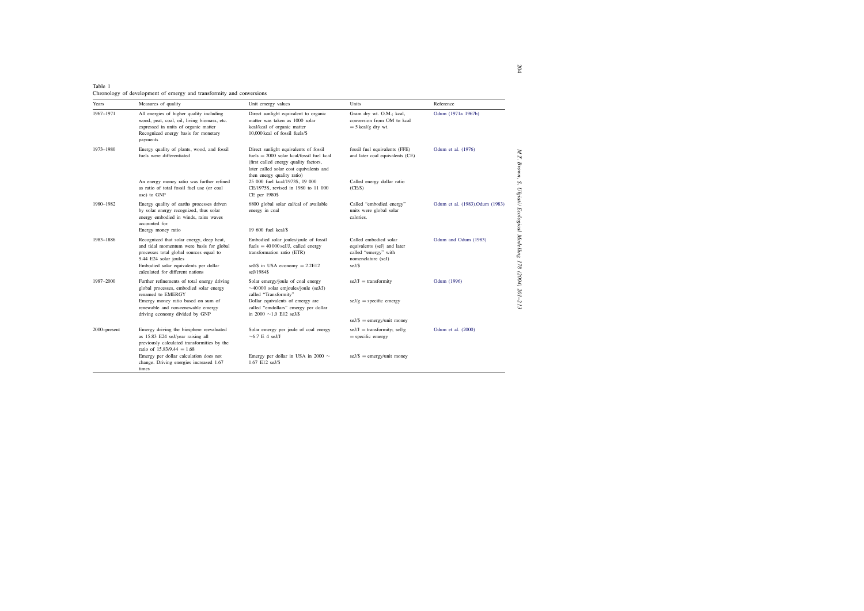<span id="page-3-0"></span>

| Years        | Measures of quality                                                                                                                                                                                                                   | Unit emergy values                                                                                                                                                                                    | Units                                                                                                       | Reference                       |
|--------------|---------------------------------------------------------------------------------------------------------------------------------------------------------------------------------------------------------------------------------------|-------------------------------------------------------------------------------------------------------------------------------------------------------------------------------------------------------|-------------------------------------------------------------------------------------------------------------|---------------------------------|
| 1967-1971    | All energies of higher quality including<br>wood, peat, coal, oil, living biomass, etc.<br>expressed in units of organic matter<br>Recognized energy basis for monetary<br>payments                                                   | Direct sunlight equivalent to organic<br>matter was taken as 1000 solar<br>kcal/kcal of organic matter<br>10,000 kcal of fossil fuels/\$                                                              | Gram dry wt. O.M.; kcal,<br>conversion from OM to kcal<br>$=$ 5 kcal/g dry wt.                              | Odum (1971a 1967b)              |
| 1973-1980    | Energy quality of plants, wood, and fossil<br>fuels were differentiated                                                                                                                                                               | Direct sunlight equivalents of fossil<br>$fuels = 2000$ solar kcal/fossil fuel kcal<br>(first called energy quality factors,<br>later called solar cost equivalents and<br>then energy quality ratio) | fossil fuel equivalents (FFE)<br>and later coal equivalents (CE)                                            | Odum et al. (1976)              |
|              | An energy money ratio was further refined<br>as ratio of total fossil fuel use (or coal<br>use) to GNP                                                                                                                                | 25 000 fuel kcal/1973\$, 19 000<br>CE/1975\$, revised in 1980 to 11 000<br>CE per 1980\$                                                                                                              | Called energy dollar ratio<br>(CE/S)                                                                        |                                 |
| 1980-1982    | Energy quality of earths processes driven<br>by solar energy recognized, thus solar<br>energy embodied in winds, rains waves<br>accounted for.<br>Energy money ratio                                                                  | 6800 global solar cal/cal of available<br>energy in coal<br>$19\,600$ fuel kcal/ $\frac{1}{9}$                                                                                                        | Called "embodied energy"<br>units were global solar<br>calories.                                            | Odum et al. (1983), Odum (1983) |
| 1983-1886    | Recognized that solar energy, deep heat,<br>and tidal momentum were basis for global<br>processes total global sources equal to<br>9.44 E24 solar joules<br>Embodied solar equivalents per dollar<br>calculated for different nations | Embodied solar joules/joule of fossil<br>fuels = $40000 \text{ seJ/J}$ , called energy<br>transformation ratio (ETR)<br>seJ/ $\sin$ USA economy = 2.2E12<br>seJ/1984\$                                | Called embodied solar<br>equivalents (seJ) and later<br>called "emergy" with<br>nomenclature (seJ)<br>seJ/S | Odum and Odum (1983)            |
| 1987-2000    | Further refinements of total energy driving<br>global processes, embodied solar energy<br>renamed to EMERGY<br>Emergy money ratio based on sum of                                                                                     | Solar emergy/joule of coal energy<br>$\sim$ 40000 solar emjoules/joule (seJ/J)<br>called "Transformity"<br>Dollar equivalents of emergy are                                                           | $seJ/J =$ transformity<br>$\text{seJ/g}$ = specific emergy                                                  | Odum (1996)                     |
|              | renewable and non-renewable emergy<br>driving economy divided by GNP                                                                                                                                                                  | called "emdollars" emergy per dollar<br>in 2000 $\sim$ 1.0 E12 seJ/\$                                                                                                                                 | $seJ/\$ = energy/unit$ money                                                                                |                                 |
| 2000-present | Emergy driving the biosphere reevaluated<br>as 15.83 E24 seJ/year raising all<br>previously calculated transformities by the<br>ratio of $15.83/9.44 = 1.68$                                                                          | Solar emergy per joule of coal energy<br>$\sim$ 6.7 E 4 seJ/J                                                                                                                                         | $seJ/J =$ transformity; seJ/g<br>$=$ specific emergy                                                        | Odum et al. (2000)              |
|              | Emergy per dollar calculation does not<br>change. Driving energies increased 1.67<br>times                                                                                                                                            | Emergy per dollar in USA in 2000 $\sim$<br>1.67 E12 seJ/\$                                                                                                                                            | seJ/\$ = emergy/unit money                                                                                  |                                 |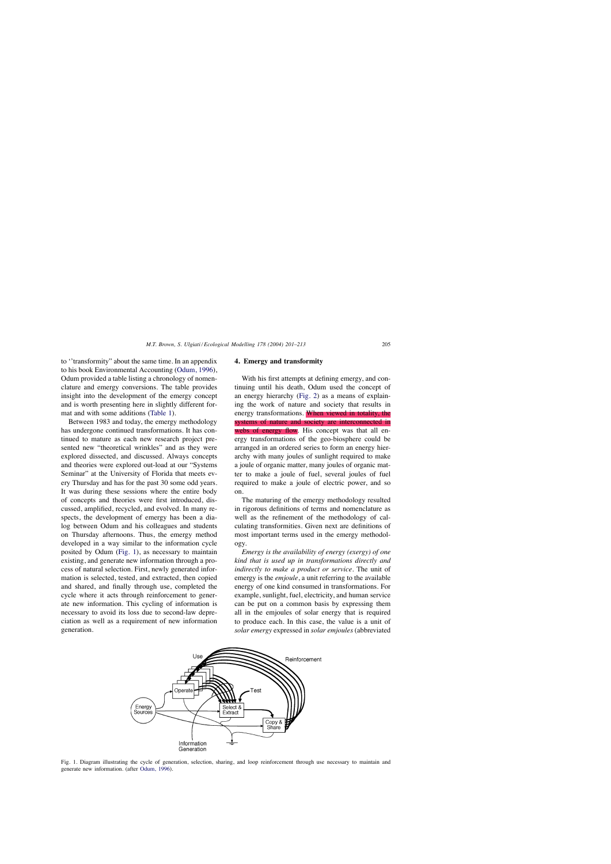<span id="page-4-0"></span>to ''transformity" about the same time. In an appendix to his book Environmental Accounting [\(Odum, 1996\),](#page-11-0) Odum provided a table listing a chronology of nomenclature and emergy conversions. The table provides insight into the development of the emergy concept and is worth presenting here in slightly different format and with some additions [\(Table 1\).](#page-3-0)

Between 1983 and today, the emergy methodology has undergone continued transformations. It has continued to mature as each new research project presented new "theoretical wrinkles" and as they were explored dissected, and discussed. Always concepts and theories were explored out-load at our "Systems Seminar" at the University of Florida that meets every Thursday and has for the past 30 some odd years. It was during these sessions where the entire body of concepts and theories were first introduced, discussed, amplified, recycled, and evolved. In many respects, the development of emergy has been a dialog between Odum and his colleagues and students on Thursday afternoons. Thus, the emergy method developed in a way similar to the information cycle posited by Odum (Fig. 1), as necessary to maintain existing, and generate new information through a process of natural selection. First, newly generated information is selected, tested, and extracted, then copied and shared, and finally through use, completed the cycle where it acts through reinforcement to generate new information. This cycling of information is necessary to avoid its loss due to second-law depreciation as well as a requirement of new information generation.

#### **4. Emergy and transformity**

With his first attempts at defining emergy, and continuing until his death, Odum used the concept of an energy hierarchy [\(Fig. 2\)](#page-5-0) as a means of explaining the work of nature and society that results in energy transformations. When viewed in totality, the systems of nature and society are interconnected in webs of energy flow. His concept was that all energy transformations of the geo-biosphere could be arranged in an ordered series to form an energy hierarchy with many joules of sunlight required to make a joule of organic matter, many joules of organic matter to make a joule of fuel, several joules of fuel required to make a joule of electric power, and so on.

The maturing of the emergy methodology resulted in rigorous definitions of terms and nomenclature as well as the refinement of the methodology of calculating transformities. Given next are definitions of most important terms used in the emergy methodology.

*Emergy is the availability of energy (exergy) of one kind that is used up in transformations directly and indirectly to make a product or service*. The unit of emergy is the *emjoule*, a unit referring to the available energy of one kind consumed in transformations. For example, sunlight, fuel, electricity, and human service can be put on a common basis by expressing them all in the emjoules of solar energy that is required to produce each. In this case, the value is a unit of *solar emergy* expressed in *solar emjoules* (abbreviated



Fig. 1. Diagram illustrating the cycle of generation, selection, sharing, and loop reinforcement through use necessary to maintain and generate new information. (after [Odum, 1996\).](#page-11-0)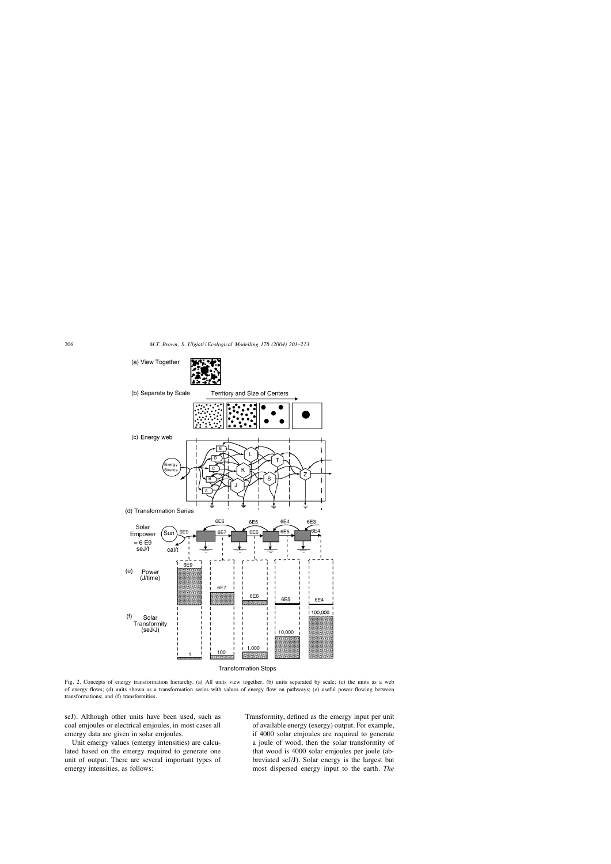<span id="page-5-0"></span>

Fig. 2. Concepts of energy transformation hierarchy. (a) All units view together; (b) units separated by scale; (c) the units as a web of energy flows; (d) units shown as a transformation series with values of energy flow on pathways; (e) useful power flowing between transformations; and (f) transformities.

seJ). Although other units have been used, such as coal emjoules or electrical emjoules, in most cases all emergy data are given in solar emjoules.

Unit emergy values (emergy intensities) are calculated based on the emergy required to generate one unit of output. There are several important types of emergy intensities, as follows:

Transformity, defined as the emergy input per unit of available energy (exergy) output. For example, if 4000 solar emjoules are required to generate a joule of wood, then the solar transformity of that wood is 4000 solar emjoules per joule (abbreviated seJ/J). Solar energy is the largest but most dispersed energy input to the earth. *The*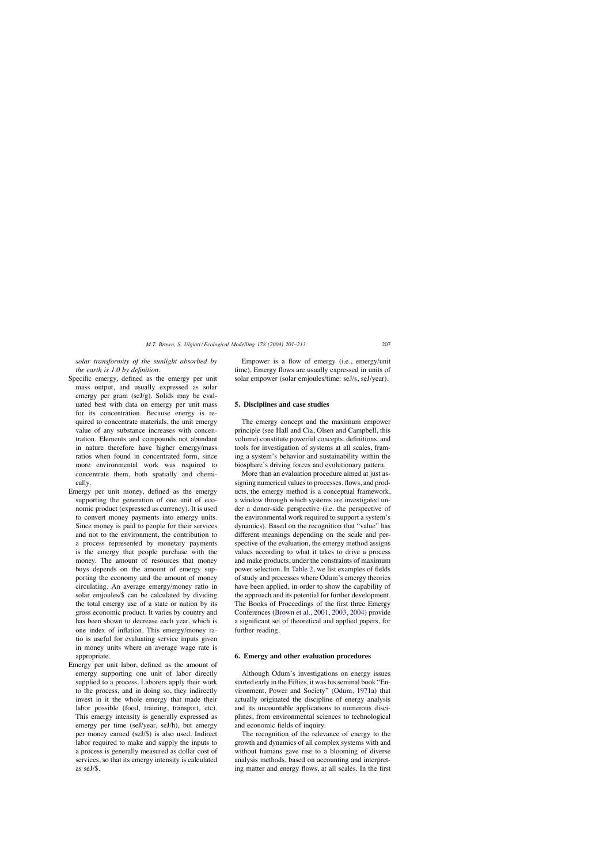*solar transformity of the sunlight absorbed by the earth is 1.0 by definition*.

- Specific emergy, defined as the emergy per unit mass output, and usually expressed as solar emergy per gram (seJ/g). Solids may be evaluated best with data on emergy per unit mass for its concentration. Because energy is required to concentrate materials, the unit emergy value of any substance increases with concentration. Elements and compounds not abundant in nature therefore have higher emergy/mass ratios when found in concentrated form, since more environmental work was required to concentrate them, both spatially and chemically.
- Emergy per unit money, defined as the emergy supporting the generation of one unit of economic product (expressed as currency). It is used to convert money payments into emergy units. Since money is paid to people for their services and not to the environment, the contribution to a process represented by monetary payments is the emergy that people purchase with the money. The amount of resources that money buys depends on the amount of emergy supporting the economy and the amount of money circulating. An average emergy/money ratio in solar emjoules/\$ can be calculated by dividing the total emergy use of a state or nation by its gross economic product. It varies by country and has been shown to decrease each year, which is one index of inflation. This emergy/money ratio is useful for evaluating service inputs given in money units where an average wage rate is appropriate.
- Emergy per unit labor, defined as the amount of emergy supporting one unit of labor directly supplied to a process. Laborers apply their work to the process, and in doing so, they indirectly invest in it the whole emergy that made their labor possible (food, training, transport, etc). This emergy intensity is generally expressed as emergy per time (seJ/year, seJ/h), but emergy per money earned (seJ/\$) is also used. Indirect labor required to make and supply the inputs to a process is generally measured as dollar cost of services, so that its emergy intensity is calculated as seJ/\$.

Empower is a flow of emergy (i.e., emergy/unit time). Emergy flows are usually expressed in units of solar empower (solar emjoules/time: seJ/s, seJ/year).

### **5. Disciplines and case studies**

The emergy concept and the maximum empower principle (see Hall and Cia, Olsen and Campbell, this volume) constitute powerful concepts, definitions, and tools for investigation of systems at all scales, framing a system's behavior and sustainability within the biosphere's driving forces and evolutionary pattern.

More than an evaluation procedure aimed at just assigning numerical values to processes, flows, and products, the emergy method is a conceptual framework, a window through which systems are investigated under a donor-side perspective (i.e. the perspective of the environmental work required to support a system's dynamics). Based on the recognition that "value" has different meanings depending on the scale and perspective of the evaluation, the emergy method assigns values according to what it takes to drive a process and make products, under the constraints of maximum power selection. In [Table 2, w](#page-7-0)e list examples of fields of study and processes where Odum's emergy theories have been applied, in order to show the capability of the approach and its potential for further development. The Books of Proceedings of the first three Emergy Conferences [\(Brown et al., 2001, 2003, 2004\) p](#page-9-0)rovide a significant set of theoretical and applied papers, for further reading.

## **6. Emergy and other evaluation procedures**

Although Odum's investigations on energy issues started early in the Fifties, it was his seminal book "Environment, Power and Society" [\(Odum, 1971a\)](#page-10-0) that actually originated the discipline of energy analysis and its uncountable applications to numerous disciplines, from environmental sciences to technological and economic fields of inquiry.

The recognition of the relevance of energy to the growth and dynamics of all complex systems with and without humans gave rise to a blooming of diverse analysis methods, based on accounting and interpreting matter and energy flows, at all scales. In the first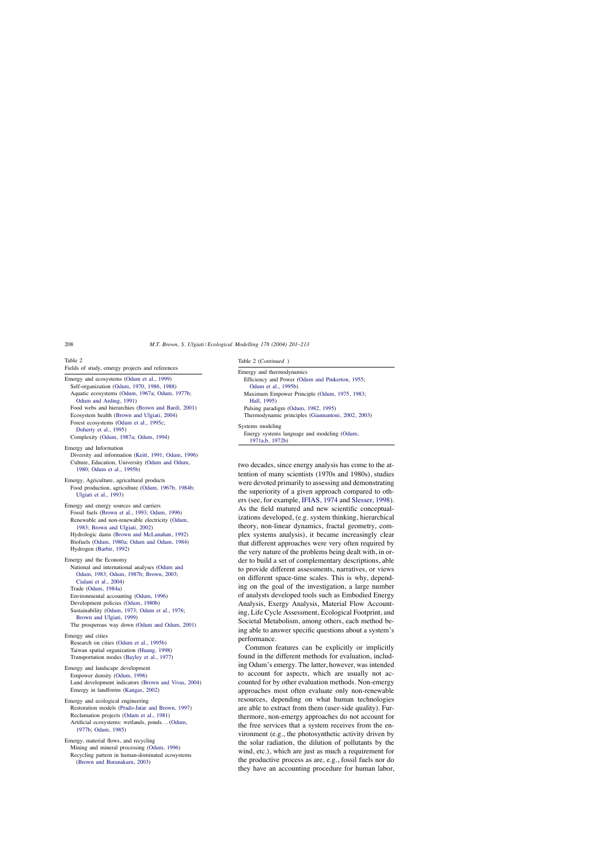| Table 2<br>Fields of study, emergy projects and references                                                                               |
|------------------------------------------------------------------------------------------------------------------------------------------|
| Emergy and ecosystems (Odum et al., 1999)<br>Self-organization (Odum, 1970, 1986, 1988)<br>Aquatic ecosystems (Odum, 1967a; Odum, 1977b; |

[Odum and Arding, 1991\)](#page-11-0) Food webs and hierarchies ([Brown and Bardi, 2001\)](#page-9-0) Ecosystem health ([Brown and Ulgiati, 2004\)](#page-9-0) Forest ecosystems ([Odum et al., 1995c;](#page-11-0) [Doherty et al., 1995\)](#page-10-0) Complexity [\(Odum, 1987a; Odum, 1994\)](#page-11-0)

- Emergy and Information Diversity and information [\(Keitt, 1991; Odum, 1996\)](#page-10-0) Culture, Education, University [\(Odum and Odum,](#page-11-0) [1980;](#page-11-0) [Odum et al., 1995b\)](#page-11-0)
- Emergy, Agriculture, agricultural products Food production, agriculture [\(Odum, 1967b, 1984b;](#page-10-0) [Ulgiati et al., 1993\)](#page-10-0)

Emergy and energy sources and carriers Fossil fuels [\(Brown et al., 1993; Odum, 1996\)](#page-10-0) Renewable and non-renewable electricity [\(Odum,](#page-11-0) [1983; Brown and Ulgiati, 2002\)](#page-11-0) Hydrologic dams ([Brown and McLanahan, 1992\)](#page-9-0)

Biofuels ([Odum, 1980a; Odum and Odum, 1984\)](#page-11-0) Hydrogen ([Barbir, 1992\)](#page-9-0)

Emergy and the Economy National and international analyses [\(Odum and](#page-11-0) [Odum, 1983; Odum, 1987b; Brown, 2003;](#page-11-0) [Cialani et al., 2004\)](#page-11-0) Trade [\(Odum, 1984a\)](#page-11-0) Environmental accounting ([Odum, 1996\)](#page-11-0) Development policies [\(Odum, 1980b\)](#page-11-0) Sustainability ([Odum, 1973;](#page-10-0) [Odum et al., 1976;](#page-11-0) [Brown and Ulgiati, 1999\)](#page-9-0) The prosperous way down ([Odum and Odum, 2001\)](#page-11-0)

Emergy and cities Research on cities ([Odum et al., 1995b\)](#page-11-0) Taiwan spatial organization [\(Huang, 1998\)](#page-10-0) Transportation modes [\(Bayley et al., 1977\)](#page-9-0)

Emergy and landscape development Empower density ([Odum, 1996\)](#page-11-0) Land development indicators ([Brown and Vivas, 2004\)](#page-9-0) Emergy in landforms [\(Kangas, 2002\)](#page-10-0)

Emergy and ecological engineering Restoration models ([Prado-Jatar and Brown, 1997\)](#page-11-0) Reclamation projects [\(Odum et al., 1981\)](#page-11-0) Artificial ecosystems: wetlands, ponds*...* [\(Odum,](#page-10-0) [1977b;](#page-10-0) [Odum, 1985\)](#page-11-0)

Emergy, material flows, and recycling Mining and mineral processing [\(Odum, 1996\)](#page-11-0) Recycling pattern in human-dominated ecosystems ([Brown and Buranakarn, 2003\)](#page-9-0)

Table 2 (*Continued* )

| Emergy and thermodynamics                          |
|----------------------------------------------------|
| Efficiency and Power (Odum and Pinkerton, 1955;    |
| Odum et al., 1995b)                                |
| Maximum Empower Principle (Odum, 1975, 1983;       |
| Hall, 1995)                                        |
| Pulsing paradigm (Odum, 1982, 1995)                |
| Thermodynamic principles (Giannantoni, 2002, 2003) |
| Systems modeling                                   |
| Energy systems language and modeling (Odum,        |
| 1971a,b, 1972b)                                    |
|                                                    |

two decades, since energy analysis has come to the attention of many scientists (1970s and 1980s), studies were devoted primarily to assessing and demonstrating the superiority of a given approach compared to others (see, for example, [IFIAS, 1974](#page-10-0) and [Slesser, 1998\).](#page-12-0) As the field matured and new scientific conceptualizations developed, (e.g. system thinking, hierarchical theory, non-linear dynamics, fractal geometry, complex systems analysis), it became increasingly clear that different approaches were very often required by the very nature of the problems being dealt with, in order to build a set of complementary descriptions, able to provide different assessments, narratives, or views on different space-time scales. This is why, depending on the goal of the investigation, a large number of analysts developed tools such as Embodied Energy Analysis, Exergy Analysis, Material Flow Accounting, Life Cycle Assessment, Ecological Footprint, and Societal Metabolism, among others, each method being able to answer specific questions about a system's performance.

Common features can be explicitly or implicitly found in the different methods for evaluation, including Odum's emergy. The latter, however, was intended to account for aspects, which are usually not accounted for by other evaluation methods. Non-emergy approaches most often evaluate only non-renewable resources, depending on what human technologies are able to extract from them (user-side quality). Furthermore, non-emergy approaches do not account for the free services that a system receives from the environment (e.g., the photosynthetic activity driven by the solar radiation, the dilution of pollutants by the wind, etc.), which are just as much a requirement for the productive process as are, e.g., fossil fuels nor do they have an accounting procedure for human labor,

<span id="page-7-0"></span>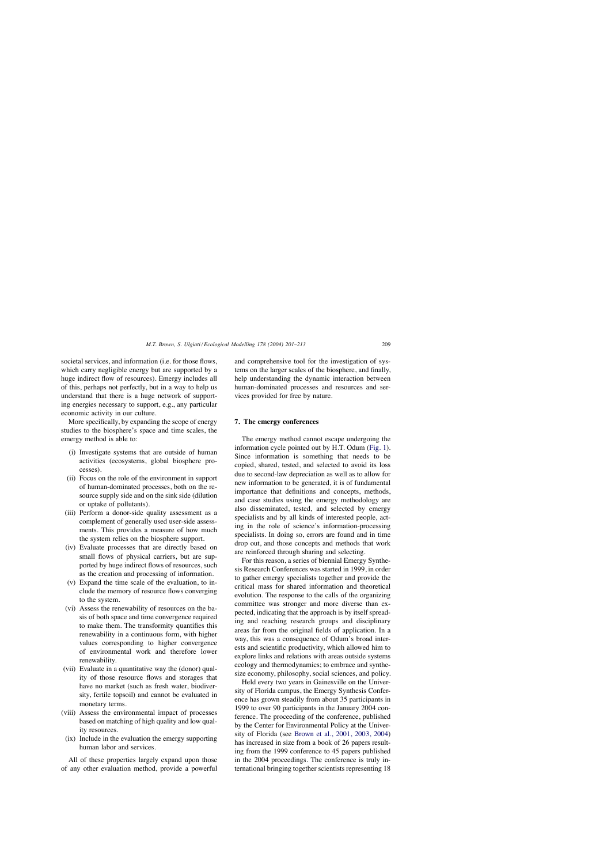societal services, and information (i.e. for those flows, which carry negligible energy but are supported by a huge indirect flow of resources). Emergy includes all of this, perhaps not perfectly, but in a way to help us understand that there is a huge network of supporting energies necessary to support, e.g., any particular economic activity in our culture.

More specifically, by expanding the scope of energy studies to the biosphere's space and time scales, the emergy method is able to:

- (i) Investigate systems that are outside of human activities (ecosystems, global biosphere processes).
- (ii) Focus on the role of the environment in support of human-dominated processes, both on the resource supply side and on the sink side (dilution or uptake of pollutants).
- (iii) Perform a donor-side quality assessment as a complement of generally used user-side assessments. This provides a measure of how much the system relies on the biosphere support.
- (iv) Evaluate processes that are directly based on small flows of physical carriers, but are supported by huge indirect flows of resources, such as the creation and processing of information.
- (v) Expand the time scale of the evaluation, to include the memory of resource flows converging to the system.
- (vi) Assess the renewability of resources on the basis of both space and time convergence required to make them. The transformity quantifies this renewability in a continuous form, with higher values corresponding to higher convergence of environmental work and therefore lower renewability.
- (vii) Evaluate in a quantitative way the (donor) quality of those resource flows and storages that have no market (such as fresh water, biodiversity, fertile topsoil) and cannot be evaluated in monetary terms.
- (viii) Assess the environmental impact of processes based on matching of high quality and low quality resources.
- (ix) Include in the evaluation the emergy supporting human labor and services.

All of these properties largely expand upon those of any other evaluation method, provide a powerful and comprehensive tool for the investigation of systems on the larger scales of the biosphere, and finally, help understanding the dynamic interaction between human-dominated processes and resources and services provided for free by nature.

#### **7. The emergy conferences**

The emergy method cannot escape undergoing the information cycle pointed out by H.T. Odum [\(Fig. 1\).](#page-4-0) Since information is something that needs to be copied, shared, tested, and selected to avoid its loss due to second-law depreciation as well as to allow for new information to be generated, it is of fundamental importance that definitions and concepts, methods, and case studies using the emergy methodology are also disseminated, tested, and selected by emergy specialists and by all kinds of interested people, acting in the role of science's information-processing specialists. In doing so, errors are found and in time drop out, and those concepts and methods that work are reinforced through sharing and selecting.

For this reason, a series of biennial Emergy Synthesis Research Conferences was started in 1999, in order to gather emergy specialists together and provide the critical mass for shared information and theoretical evolution. The response to the calls of the organizing committee was stronger and more diverse than expected, indicating that the approach is by itself spreading and reaching research groups and disciplinary areas far from the original fields of application. In a way, this was a consequence of Odum's broad interests and scientific productivity, which allowed him to explore links and relations with areas outside systems ecology and thermodynamics; to embrace and synthesize economy, philosophy, social sciences, and policy.

Held every two years in Gainesville on the University of Florida campus, the Emergy Synthesis Conference has grown steadily from about 35 participants in 1999 to over 90 participants in the January 2004 conference. The proceeding of the conference, published by the Center for Environmental Policy at the University of Florida (see [Brown et al., 2001, 2003, 2004\)](#page-9-0) has increased in size from a book of 26 papers resulting from the 1999 conference to 45 papers published in the 2004 proceedings. The conference is truly international bringing together scientists representing 18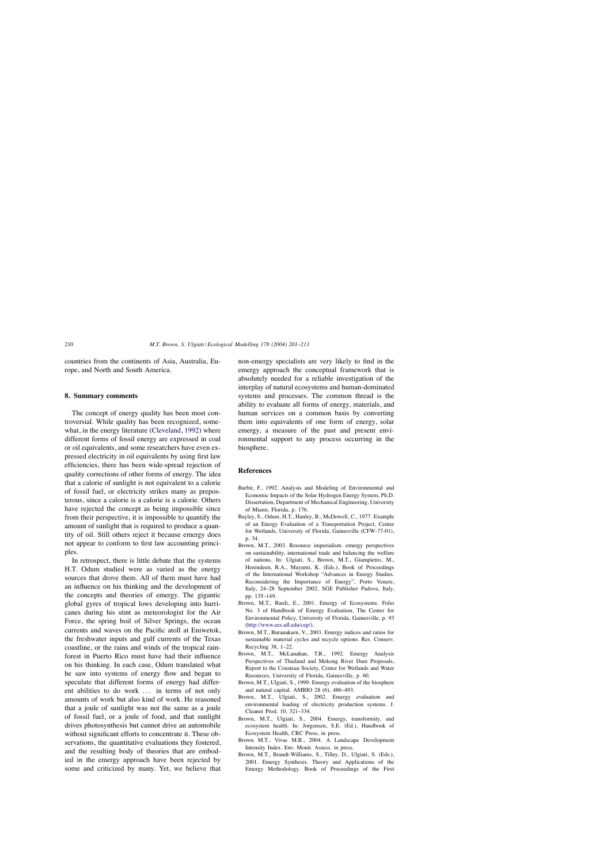<span id="page-9-0"></span>countries from the continents of Asia, Australia, Europe, and North and South America.

#### **8. Summary comments**

The concept of energy quality has been most controversial. While quality has been recognized, somewhat, in the energy literature [\(Cleveland, 1992\)](#page-10-0) where different forms of fossil energy are expressed in coal or oil equivalents, and some researchers have even expressed electricity in oil equivalents by using first law efficiencies, there has been wide-spread rejection of quality corrections of other forms of energy. The idea that a calorie of sunlight is not equivalent to a calorie of fossil fuel, or electricity strikes many as preposterous, since a calorie is a calorie is a calorie. Others have rejected the concept as being impossible since from their perspective, it is impossible to quantify the amount of sunlight that is required to produce a quantity of oil. Still others reject it because emergy does not appear to conform to first law accounting principles.

In retrospect, there is little debate that the systems H.T. Odum studied were as varied as the energy sources that drove them. All of them must have had an influence on his thinking and the development of the concepts and theories of emergy. The gigantic global gyres of tropical lows developing into hurricanes during his stint as meteorologist for the Air Force, the spring boil of Silver Springs, the ocean currents and waves on the Pacific atoll at Eniwetok, the freshwater inputs and gulf currents of the Texas coastline, or the rains and winds of the tropical rainforest in Puerto Rico must have had their influence on his thinking. In each case, Odum translated what he saw into systems of energy flow and began to speculate that different forms of energy had different abilities to do work *...* in terms of not only amounts of work but also kind of work. He reasoned that a joule of sunlight was not the same as a joule of fossil fuel, or a joule of food, and that sunlight drives photosynthesis but cannot drive an automobile without significant efforts to concentrate it. These observations, the quantitative evaluations they fostered, and the resulting body of theories that are embodied in the emergy approach have been rejected by some and criticized by many. Yet, we believe that non-emergy specialists are very likely to find in the emergy approach the conceptual framework that is absolutely needed for a reliable investigation of the interplay of natural ecosystems and human-dominated systems and processes. The common thread is the ability to evaluate all forms of energy, materials, and human services on a common basis by converting them into equivalents of one form of energy, solar emergy, a measure of the past and present environmental support to any process occurring in the biosphere.

#### **References**

- Barbir, F., 1992. Analysis and Modeling of Environmental and Economic Impacts of the Solar Hydrogen Energy System, Ph.D. Dissertation, Department of Mechanical Engineering, University of Miami, Florida, p. 176.
- Bayley, S., Odum, H.T., Hanley, B., McDowell, C., 1977. Example of an Energy Evaluation of a Transportation Project, Center for Wetlands, University of Florida, Gainesville (CFW-77-01), p. 34.
- Brown, M.T., 2003. Resource imperialism. emergy perspectives on sustainability, international trade and balancing the welfare of nations. In: Ulgiati, S., Brown, M.T., Giampietro, M., Herendeen, R.A., Mayumi, K. (Eds.), Book of Proceedings of the International Workshop "Advances in Energy Studies. Reconsidering the Importance of Energy", Porto Venere, Italy, 24–28 September 2002, SGE Publisher Padova, Italy, pp. 135–149.
- Brown, M.T., Bardi, E., 2001. Emergy of Ecosystems. Folio No. 3 of Handbook of Emergy Evaluation, The Center for Environmental Policy, University of Florida, Gainesville, p. 93 (<http://www.ees.ufl.edu/cep/>).
- Brown, M.T., Buranakarn, V., 2003. Emergy indices and ratios for sustainable material cycles and recycle options. Res. Conserv. Recycling 38, 1–22.
- Brown, M.T., McLanahan, T.R., 1992. Emergy Analysis Perspectives of Thailand and Mekong River Dam Proposals, Report to the Cousteau Society, Center for Wetlands and Water Resources, University of Florida, Gainesville, p. 60.
- Brown, M.T., Ulgiati, S., 1999. Emergy evaluation of the biosphere and natural capital. AMBIO 28 (6), 486–493.
- Brown, M.T., Ulgiati, S., 2002. Emergy evaluation and environmental loading of electricity production systems. J. Cleaner Prod. 10, 321–334.
- Brown, M.T., Ulgiati, S., 2004. Emergy, transformity, and ecosystem health. In: Jorgensen, S.E. (Ed.), Handbook of Ecosystem Health, CRC Press, in press.
- Brown M.T., Vivas M.B., 2004. A Landscape Development Intensity Index. Env. Monit. Assess. in press.
- Brown, M.T., Brandt-Williams, S., Tilley, D., Ulgiati, S. (Eds.), 2001. Emergy Synthesis. Theory and Applications of the Emergy Methodology. Book of Proceedings of the First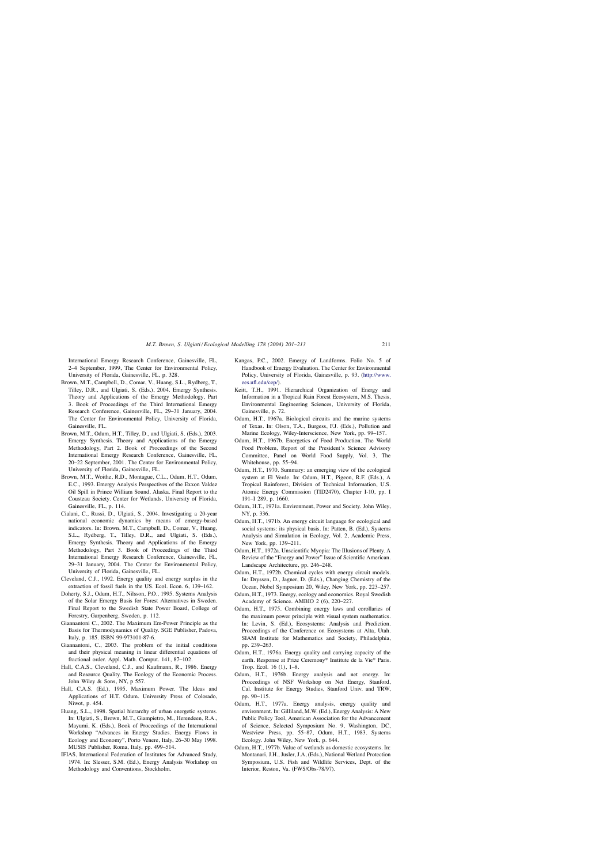<span id="page-10-0"></span>International Emergy Research Conference, Gainesville, FL, 2–4 September, 1999, The Center for Environmental Policy, University of Florida, Gainesville, FL, p. 328.

- Brown, M.T., Campbell, D., Comar, V., Huang, S.L., Rydberg, T., Tilley, D.R., and Ulgiati, S. (Eds.), 2004. Emergy Synthesis. Theory and Applications of the Emergy Methodology, Part 3. Book of Proceedings of the Third International Emergy Research Conference, Gainesville, FL, 29–31 January, 2004. The Center for Environmental Policy, University of Florida, Gainesville, FL.
- Brown, M.T., Odum, H.T., Tilley, D., and Ulgiati, S. (Eds.), 2003. Emergy Synthesis. Theory and Applications of the Emergy Methodology, Part 2. Book of Proceedings of the Second International Emergy Research Conference, Gainesville, FL, 20–22 September, 2001. The Center for Environmental Policy, University of Florida, Gainesville, FL.
- Brown, M.T., Woithe, R.D., Montague, C.L., Odum, H.T., Odum, E.C., 1993. Emergy Analysis Perspectives of the Exxon Valdez Oil Spill in Prince William Sound, Alaska. Final Report to the Cousteau Society. Center for Wetlands, University of Florida, Gainesville, FL, p. 114.
- Cialani, C., Russi, D., Ulgiati, S., 2004. Investigating a 20-year national economic dynamics by means of emergy-based indicators. In: Brown, M.T., Campbell, D., Comar, V., Huang, S.L., Rydberg, T., Tilley, D.R., and Ulgiati, S. (Eds.), Emergy Synthesis. Theory and Applications of the Emergy Methodology, Part 3. Book of Proceedings of the Third International Emergy Research Conference, Gainesville, FL, 29–31 January, 2004. The Center for Environmental Policy, University of Florida, Gainesville, FL.
- Cleveland, C.J., 1992. Energy quality and energy surplus in the extraction of fossil fuels in the US. Ecol. Econ. 6, 139–162.
- Doherty, S.J., Odum, H.T., Nilsson, P.O., 1995. Systems Analysis of the Solar Emergy Basis for Forest Alternatives in Sweden. Final Report to the Swedish State Power Board, College of Forestry, Garpenberg, Sweden, p. 112.
- Giannantoni C., 2002. The Maximum Em-Power Principle as the Basis for Thermodynamics of Quality. SGE Publisher, Padova, Italy, p. 185. ISBN 99-973101-87-6.
- Giannantoni, C., 2003. The problem of the initial conditions and their physical meaning in linear differential equations of fractional order. Appl. Math. Comput. 141, 87–102.
- Hall, C.A.S., Cleveland, C.J., and Kaufmann, R., 1986. Energy and Resource Quality. The Ecology of the Economic Process. John Wiley & Sons, NY, p 557.
- Hall, C.A.S. (Ed.), 1995. Maximum Power. The Ideas and Applications of H.T. Odum. University Press of Colorado, Niwot, p. 454.
- Huang, S.L., 1998. Spatial hierarchy of urban energetic systems. In: Ulgiati, S., Brown, M.T., Giampietro, M., Herendeen, R.A., Mayumi, K. (Eds.), Book of Proceedings of the International Workshop "Advances in Energy Studies. Energy Flows in Ecology and Economy", Porto Venere, Italy, 26–30 May 1998. MUSIS Publisher, Roma, Italy, pp. 499–514.
- IFIAS, International Federation of Institutes for Advanced Study, 1974. In: Slesser, S.M. (Ed.), Energy Analysis Workshop on Methodology and Conventions, Stockholm.
- Kangas, P.C., 2002. Emergy of Landforms. Folio No. 5 of Handbook of Emergy Evaluation. The Center for Environmental Policy, University of Florida, Gainesville, p. 93. ([http://www.](http://www.ees.ufl.edu/cep/) [ees.ufl.edu/cep/\)](http://www.ees.ufl.edu/cep/).
- Keitt, T.H., 1991. Hierarchical Organization of Energy and Information in a Tropical Rain Forest Ecosystem, M.S. Thesis, Environmental Engineering Sciences, University of Florida, Gainesville, p. 72.
- Odum, H.T., 1967a. Biological circuits and the marine systems of Texas. In: Olson, T.A., Burgess, F.J. (Eds.), Pollution and Marine Ecology, Wiley-Interscience, New York, pp. 99–157.
- Odum, H.T., 1967b. Energetics of Food Production. The World Food Problem, Report of the President's Science Advisory Committee, Panel on World Food Supply, Vol. 3, The Whitehouse, pp. 55–94.
- Odum, H.T., 1970. Summary: an emerging view of the ecological system at El Verde. In: Odum, H.T., Pigeon, R.F. (Eds.), A Tropical Rainforest, Division of Technical Information, U.S. Atomic Energy Commission (TID2470), Chapter I-10, pp. I 191–I 289, p. 1660.
- Odum, H.T., 1971a. Environment, Power and Society. John Wiley, NY, p. 336.
- Odum, H.T., 1971b. An energy circuit language for ecological and social systems: its physical basis. In: Patten, B. (Ed.), Systems Analysis and Simulation in Ecology, Vol. 2, Academic Press, New York, pp. 139–211.
- Odum, H.T., 1972a. Unscientific Myopia: The Illusions of Plenty. A Review of the "Energy and Power" Issue of Scientific American. Landscape Architecture, pp. 246–248.
- Odum, H.T., 1972b. Chemical cycles with energy circuit models. In: Dryssen, D., Jagner, D. (Eds.), Changing Chemistry of the Ocean, Nobel Symposium 20, Wiley, New York, pp. 223–257.
- Odum, H.T., 1973. Energy, ecology and economics. Royal Swedish Academy of Science. AMBIO 2 (6), 220–227.
- Odum, H.T., 1975. Combining energy laws and corollaries of the maximum power principle with visual system mathematics. In: Levin, S. (Ed.), Ecosystems: Analysis and Prediction. Proceedings of the Conference on Ecosystems at Alta, Utah. SIAM Institute for Mathematics and Society, Philadelphia, pp. 239–263.
- Odum, H.T., 1976a. Energy quality and carrying capacity of the earth. Response at Prize Ceremony\* Institute de la Vie\* Paris. Trop. Ecol. 16 (1), 1–8.
- Odum, H.T., 1976b. Energy analysis and net energy. In: Proceedings of NSF Workshop on Net Energy, Stanford, Cal. Institute for Energy Studies, Stanford Univ. and TRW, pp. 90–115.
- Odum, H.T., 1977a. Energy analysis, energy quality and environment. In: Gilliland, M.W. (Ed.), Energy Analysis: A New Public Policy Tool, American Association for the Advancement of Science, Selected Symposium No. 9, Washington, DC, Westview Press, pp. 55–87, Odum, H.T., 1983. Systems Ecology. John Wiley, New York, p. 644.
- Odum, H.T., 1977b. Value of wetlands as domestic ecosystems. In: Montanari, J.H., Jusler, J.A, (Eds.), National Wetland Protection Symposium, U.S. Fish and Wildlife Services, Dept. of the Interior, Reston, Va. (FWS/Obs-78/97).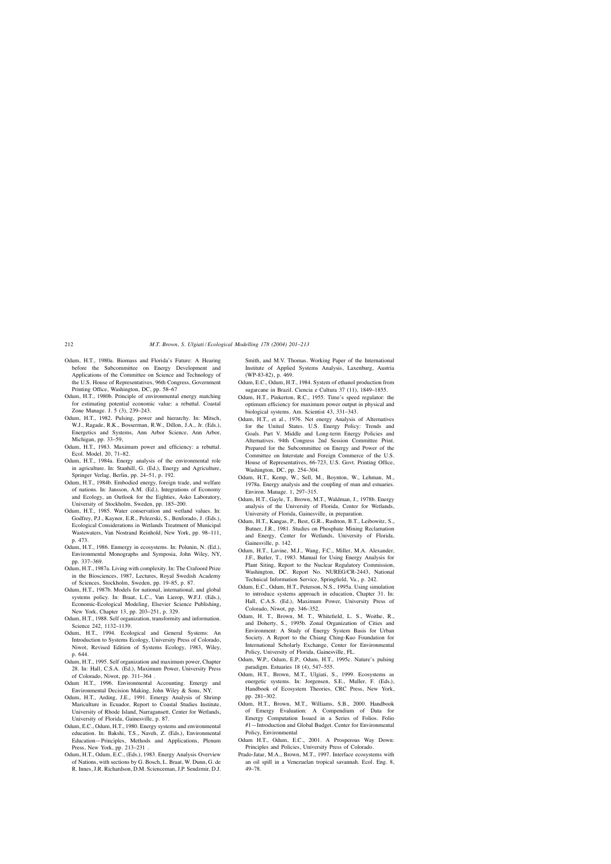- <span id="page-11-0"></span>Odum, H.T., 1980a. Biomass and Florida's Future: A Hearing before the Subcommittee on Energy Development and Applications of the Committee on Science and Technology of the U.S. House of Representatives, 96th Congress, Government Printing Office, Washington, DC, pp. 58–67
- Odum, H.T., 1980b. Principle of environmental energy matching for estimating potential economic value: a rebuttal. Coastal Zone Manage. J. 5 (3), 239–243.
- Odum, H.T., 1982. Pulsing, power and hierarchy. In: Mitsch, W.J., Ragade, R.K., Bosserman, R.W., Dillon, J.A., Jr. (Eds.), Energetics and Systems, Ann Arbor Science, Ann Arbor, Michigan, pp. 33–59,
- Odum, H.T., 1983. Maximum power and efficiency: a rebuttal. Ecol. Model. 20, 71–82.
- Odum, H.T., 1984a. Energy analysis of the environmental role in agriculture. In: Stanhill, G. (Ed.), Energy and Agriculture, Springer Verlag, Berlin, pp. 24–51, p. 192.
- Odum, H.T., 1984b. Embodied energy, foreign trade, and welfare of nations. In: Jansson, A.M. (Ed.), Integrations of Economy and Ecology, an Outlook for the Eighties, Asko Laboratory, University of Stockholm, Sweden, pp. 185–200.
- Odum, H.T., 1985. Water conservation and wetland values. In: Godfrey, P.J., Kaynor, E.R., Pelezrski, S., Benforado, J. (Eds.), Ecological Considerations in Wetlands Treatment of Municipal Wastewaters, Van Nostrand Reinhold, New York, pp. 98–111, p. 473.
- Odum, H.T., 1986. Enmergy in ecosystems. In: Polunin, N. (Ed.), Environmental Monographs and Symposia, John Wiley, NY, pp. 337–369.
- Odum, H.T., 1987a. Living with complexity. In: The Crafoord Prize in the Biosciences, 1987, Lectures, Royal Swedish Academy of Sciences, Stockholm, Sweden, pp. 19–85, p. 87.
- Odum, H.T., 1987b. Models for national, international, and global systems policy. In: Braat, L.C., Van Lierop, W.F.J. (Eds.), Economic-Ecological Modeling, Elsevier Science Publishing, New York, Chapter 13, pp. 203–251, p. 329.
- Odum, H.T., 1988. Self organization, transformity and information. Science 242, 1132–1139.
- Odum, H.T., 1994. Ecological and General Systems: An Introduction to Systems Ecology, University Press of Colorado, Niwot, Revised Edition of Systems Ecology, 1983, Wiley, p. 644.
- Odum, H.T., 1995. Self organization and maximum power, Chapter 28. In: Hall, C.S.A. (Ed.), Maximum Power, University Press of Colorado, Niwot, pp. 311–364 .
- Odum H.T., 1996. Environmental Accounting. Emergy and Environmental Decision Making, John Wiley & Sons, NY.
- Odum, H.T., Arding, J.E., 1991. Emergy Analysis of Shrimp Mariculture in Ecuador, Report to Coastal Studies Institute, University of Rhode Island, Narragansett, Center for Wetlands, University of Florida, Gainesville, p. 87.
- Odum, E.C., Odum, H.T., 1980. Energy systems and environmental education. In: Bakshi, T.S., Naveh, Z. (Eds.), Environmental Education—Principles, Methods and Applications, Plenum Press, New York, pp. 213–231 .
- Odum, H.T., Odum, E.C., (Eds.), 1983. Energy Analysis Overview of Nations, with sections by G. Bosch, L. Braat, W. Dunn, G. de R. Innes, J.R. Richardson, D.M. Scienceman, J.P. Sendzmir, D.J.

Smith, and M.V. Thomas. Working Paper of the International Institute of Applied Systems Analysis, Laxenburg, Austria (WP-83-82), p. 469.

- Odum, E.C., Odum, H.T., 1984. System of ethanol production from sugarcane in Brazil. Ciencia e Cultura 37 (11), 1849–1855.
- Odum, H.T., Pinkerton, R.C., 1955. Time's speed regulator: the optimum efficiency for maximum power output in physical and biological systems. Am. Scientist 43, 331–343.
- Odum, H.T., et al., 1976. Net energy Analysis of Alternatives for the United States. U.S. Energy Policy: Trends and Goals. Part V. Middle and Long-term Energy Policies and Alternatives. 94th Congress 2nd Session Committee Print. Prepared for the Subcommittee on Energy and Power of the Committee on Interstate and Foreign Commerce of the U.S. House of Representatives, 66-723, U.S. Govt. Printing Office, Washington, DC, pp. 254–304.
- Odum, H.T., Kemp, W., Sell, M., Boynton, W., Lehman, M., 1978a. Energy analysis and the coupling of man and estuaries. Environ. Manage. 1, 297–315.
- Odum, H.T., Gayle, T., Brown, M.T., Waldman, J., 1978b. Energy analysis of the University of Florida, Center for Wetlands, University of Florida, Gainesville, in preparation.
- Odum, H.T., Kangas, P., Best, G.R., Rushton, B.T., Leibowitz, S., Butner, J.R., 1981. Studies on Phosphate Mining Reclamation and Energy, Center for Wetlands, University of Florida, Gainesville, p. 142.
- Odum, H.T., Lavine, M.J., Wang, F.C., Miller, M.A. Alexander, J.F., Butler, T., 1983. Manual for Using Energy Analysis for Plant Siting, Report to the Nuclear Regulatory Commission, Washington, DC. Report No. NUREG/CR-2443, National Technical Information Service, Springfield, Va., p. 242.
- Odum, E.C., Odum, H.T., Peterson, N.S., 1995a. Using simulation to introduce systems approach in education, Chapter 31. In: Hall, C.A.S. (Ed.), Maximum Power, University Press of Colorado, Niwot, pp. 346–352.
- Odum, H. T., Brown, M. T., Whitefield, L. S., Woithe, R., and Doherty, S., 1995b. Zonal Organization of Cities and Environment: A Study of Energy System Basis for Urban Society. A Report to the Chiang Ching-Kuo Foundation for International Scholarly Exchange, Center for Environmental Policy, University of Florida, Gainesville, FL.
- Odum, W.P., Odum, E.P., Odum, H.T., 1995c. Nature's pulsing paradigm. Estuaries 18 (4), 547–555.
- Odum, H.T., Brown, M.T., Ulgiati, S., 1999. Ecosystems as energetic systems. In: Jorgensen, S.E., Muller, F. (Eds.), Handbook of Ecosystem Theories, CRC Press, New York, pp. 281–302.
- Odum, H.T., Brown, M.T., Williams, S.B., 2000. Handbook of Emergy Evaluation: A Compendium of Data for Emergy Computation Issued in a Series of Folios. Folio #1—Introduction and Global Budget. Center for Environmental Policy, Environmental
- Odum H.T., Odum, E.C., 2001. A Prosperous Way Down: Principles and Policies, University Press of Colorado.
- Prado-Jatar, M.A., Brown, M.T., 1997. Interface ecosystems with an oil spill in a Venezuelan tropical savannah. Ecol. Eng. 8, 49–78.